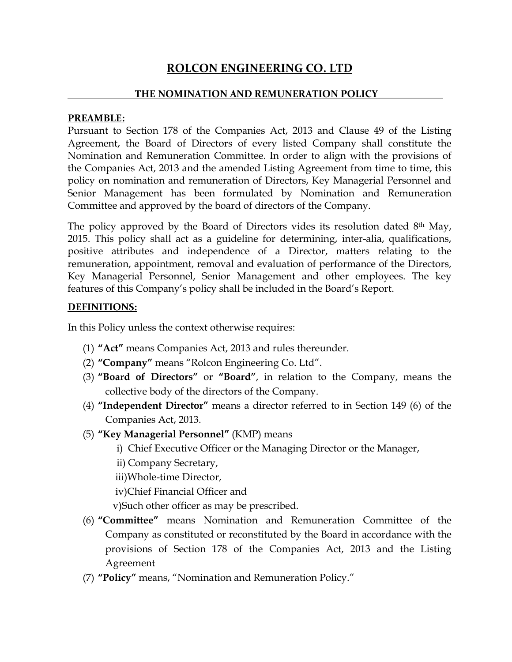# ROLCON ENGINEERING CO. LTD

#### THE NOMINATION AND REMUNERATION POLICY

#### PREAMBLE:

Pursuant to Section 178 of the Companies Act, 2013 and Clause 49 of the Listing Agreement, the Board of Directors of every listed Company shall constitute the Nomination and Remuneration Committee. In order to align with the provisions of the Companies Act, 2013 and the amended Listing Agreement from time to time, this policy on nomination and remuneration of Directors, Key Managerial Personnel and Senior Management has been formulated by Nomination and Remuneration Committee and approved by the board of directors of the Company.

The policy approved by the Board of Directors vides its resolution dated 8th May, 2015. This policy shall act as a guideline for determining, inter-alia, qualifications, positive attributes and independence of a Director, matters relating to the remuneration, appointment, removal and evaluation of performance of the Directors, Key Managerial Personnel, Senior Management and other employees. The key features of this Company's policy shall be included in the Board's Report.

#### DEFINITIONS:

In this Policy unless the context otherwise requires:

- (1) "Act" means Companies Act, 2013 and rules thereunder.
- (2) "Company" means "Rolcon Engineering Co. Ltd".
- (3) "Board of Directors" or "Board", in relation to the Company, means the collective body of the directors of the Company.
- (4) "Independent Director" means a director referred to in Section 149 (6) of the Companies Act, 2013.
- (5) "Key Managerial Personnel" (KMP) means
	- i) Chief Executive Officer or the Managing Director or the Manager,
	- ii) Company Secretary,
	- iii)Whole-time Director,
	- iv)Chief Financial Officer and
	- v)Such other officer as may be prescribed.
- (6) "Committee" means Nomination and Remuneration Committee of the Company as constituted or reconstituted by the Board in accordance with the provisions of Section 178 of the Companies Act, 2013 and the Listing Agreement
- (7) "Policy" means, "Nomination and Remuneration Policy."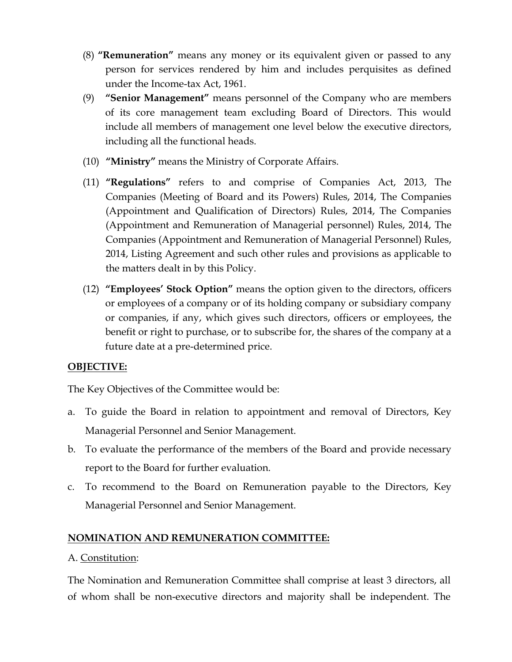- (8) "Remuneration" means any money or its equivalent given or passed to any person for services rendered by him and includes perquisites as defined under the Income-tax Act, 1961.
- (9) "Senior Management" means personnel of the Company who are members of its core management team excluding Board of Directors. This would include all members of management one level below the executive directors, including all the functional heads.
- (10) "Ministry" means the Ministry of Corporate Affairs.
- (11) "Regulations" refers to and comprise of Companies Act, 2013, The Companies (Meeting of Board and its Powers) Rules, 2014, The Companies (Appointment and Qualification of Directors) Rules, 2014, The Companies (Appointment and Remuneration of Managerial personnel) Rules, 2014, The Companies (Appointment and Remuneration of Managerial Personnel) Rules, 2014, Listing Agreement and such other rules and provisions as applicable to the matters dealt in by this Policy.
- (12) "Employees' Stock Option" means the option given to the directors, officers or employees of a company or of its holding company or subsidiary company or companies, if any, which gives such directors, officers or employees, the benefit or right to purchase, or to subscribe for, the shares of the company at a future date at a pre-determined price.

# OBJECTIVE:

The Key Objectives of the Committee would be:

- a. To guide the Board in relation to appointment and removal of Directors, Key Managerial Personnel and Senior Management.
- b. To evaluate the performance of the members of the Board and provide necessary report to the Board for further evaluation.
- c. To recommend to the Board on Remuneration payable to the Directors, Key Managerial Personnel and Senior Management.

# NOMINATION AND REMUNERATION COMMITTEE:

# A. Constitution:

The Nomination and Remuneration Committee shall comprise at least 3 directors, all of whom shall be non-executive directors and majority shall be independent. The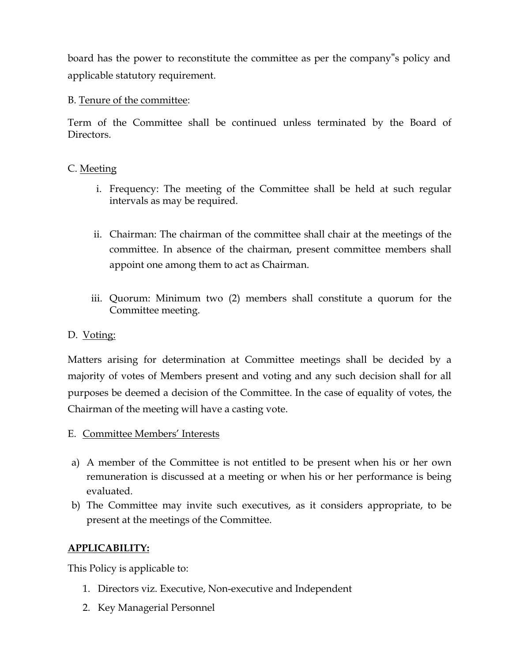board has the power to reconstitute the committee as per the company"s policy and applicable statutory requirement.

#### B. Tenure of the committee:

Term of the Committee shall be continued unless terminated by the Board of Directors.

#### C. Meeting

- i. Frequency: The meeting of the Committee shall be held at such regular intervals as may be required.
- ii. Chairman: The chairman of the committee shall chair at the meetings of the committee. In absence of the chairman, present committee members shall appoint one among them to act as Chairman.
- iii. Quorum: Minimum two (2) members shall constitute a quorum for the Committee meeting.

#### D. Voting:

Matters arising for determination at Committee meetings shall be decided by a majority of votes of Members present and voting and any such decision shall for all purposes be deemed a decision of the Committee. In the case of equality of votes, the Chairman of the meeting will have a casting vote.

- E. Committee Members' Interests
- a) A member of the Committee is not entitled to be present when his or her own remuneration is discussed at a meeting or when his or her performance is being evaluated.
- b) The Committee may invite such executives, as it considers appropriate, to be present at the meetings of the Committee.

# APPLICABILITY:

This Policy is applicable to:

- 1. Directors viz. Executive, Non-executive and Independent
- 2. Key Managerial Personnel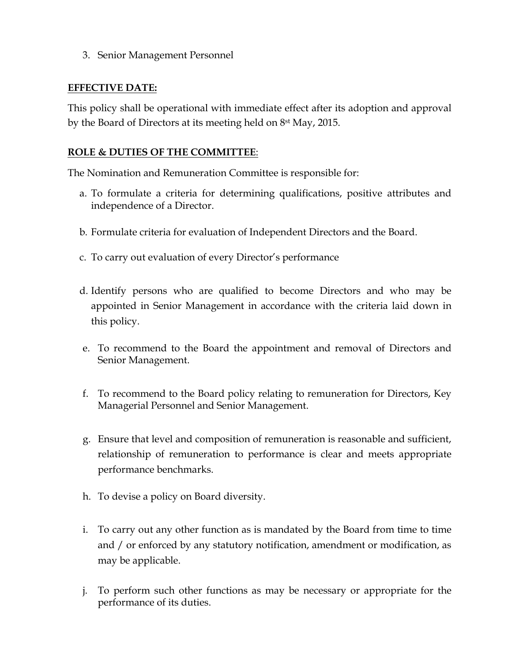3. Senior Management Personnel

#### EFFECTIVE DATE:

This policy shall be operational with immediate effect after its adoption and approval by the Board of Directors at its meeting held on 8st May, 2015.

#### ROLE & DUTIES OF THE COMMITTEE:

The Nomination and Remuneration Committee is responsible for:

- a. To formulate a criteria for determining qualifications, positive attributes and independence of a Director.
- b. Formulate criteria for evaluation of Independent Directors and the Board.
- c. To carry out evaluation of every Director's performance
- d. Identify persons who are qualified to become Directors and who may be appointed in Senior Management in accordance with the criteria laid down in this policy.
- e. To recommend to the Board the appointment and removal of Directors and Senior Management.
- f. To recommend to the Board policy relating to remuneration for Directors, Key Managerial Personnel and Senior Management.
- g. Ensure that level and composition of remuneration is reasonable and sufficient, relationship of remuneration to performance is clear and meets appropriate performance benchmarks.
- h. To devise a policy on Board diversity.
- i. To carry out any other function as is mandated by the Board from time to time and / or enforced by any statutory notification, amendment or modification, as may be applicable.
- j. To perform such other functions as may be necessary or appropriate for the performance of its duties.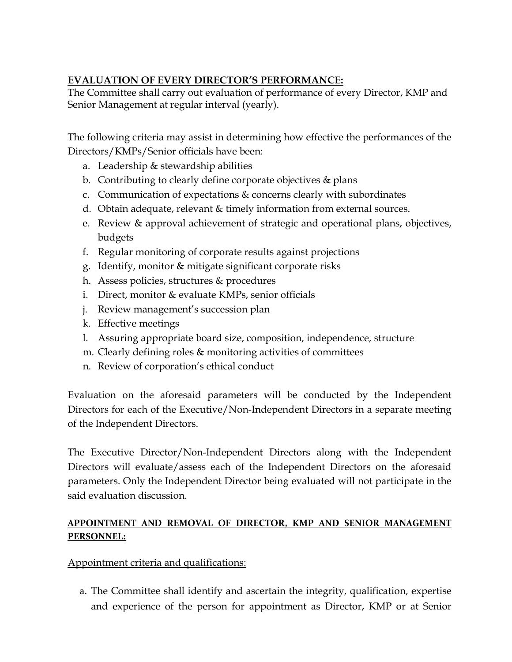# EVALUATION OF EVERY DIRECTOR'S PERFORMANCE:

The Committee shall carry out evaluation of performance of every Director, KMP and Senior Management at regular interval (yearly).

The following criteria may assist in determining how effective the performances of the Directors/KMPs/Senior officials have been:

- a. Leadership & stewardship abilities
- b. Contributing to clearly define corporate objectives & plans
- c. Communication of expectations & concerns clearly with subordinates
- d. Obtain adequate, relevant & timely information from external sources.
- e. Review & approval achievement of strategic and operational plans, objectives, budgets
- f. Regular monitoring of corporate results against projections
- g. Identify, monitor & mitigate significant corporate risks
- h. Assess policies, structures & procedures
- i. Direct, monitor & evaluate KMPs, senior officials
- j. Review management's succession plan
- k. Effective meetings
- l. Assuring appropriate board size, composition, independence, structure
- m. Clearly defining roles & monitoring activities of committees
- n. Review of corporation's ethical conduct

Evaluation on the aforesaid parameters will be conducted by the Independent Directors for each of the Executive/Non-Independent Directors in a separate meeting of the Independent Directors.

The Executive Director/Non-Independent Directors along with the Independent Directors will evaluate/assess each of the Independent Directors on the aforesaid parameters. Only the Independent Director being evaluated will not participate in the said evaluation discussion.

# APPOINTMENT AND REMOVAL OF DIRECTOR, KMP AND SENIOR MANAGEMENT PERSONNEL:

# Appointment criteria and qualifications:

a. The Committee shall identify and ascertain the integrity, qualification, expertise and experience of the person for appointment as Director, KMP or at Senior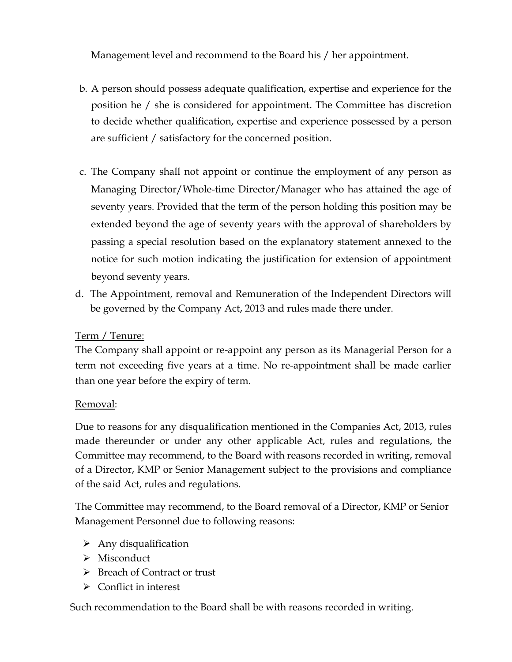Management level and recommend to the Board his / her appointment.

- b. A person should possess adequate qualification, expertise and experience for the position he / she is considered for appointment. The Committee has discretion to decide whether qualification, expertise and experience possessed by a person are sufficient / satisfactory for the concerned position.
- c. The Company shall not appoint or continue the employment of any person as Managing Director/Whole-time Director/Manager who has attained the age of seventy years. Provided that the term of the person holding this position may be extended beyond the age of seventy years with the approval of shareholders by passing a special resolution based on the explanatory statement annexed to the notice for such motion indicating the justification for extension of appointment beyond seventy years.
- d. The Appointment, removal and Remuneration of the Independent Directors will be governed by the Company Act, 2013 and rules made there under.

# Term / Tenure:

The Company shall appoint or re-appoint any person as its Managerial Person for a term not exceeding five years at a time. No re-appointment shall be made earlier than one year before the expiry of term.

# Removal:

 Due to reasons for any disqualification mentioned in the Companies Act, 2013, rules made thereunder or under any other applicable Act, rules and regulations, the Committee may recommend, to the Board with reasons recorded in writing, removal of a Director, KMP or Senior Management subject to the provisions and compliance of the said Act, rules and regulations.

 The Committee may recommend, to the Board removal of a Director, KMP or Senior Management Personnel due to following reasons:

- $\triangleright$  Any disqualification
- Misconduct
- **Breach of Contract or trust**
- $\triangleright$  Conflict in interest

Such recommendation to the Board shall be with reasons recorded in writing.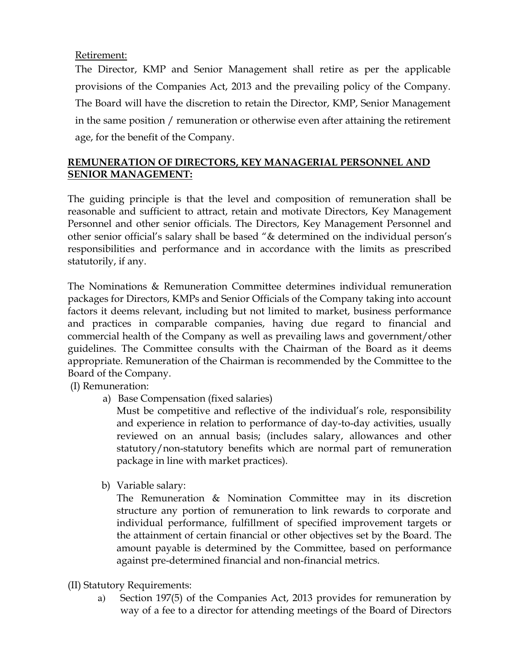# Retirement:

The Director, KMP and Senior Management shall retire as per the applicable provisions of the Companies Act, 2013 and the prevailing policy of the Company. The Board will have the discretion to retain the Director, KMP, Senior Management in the same position / remuneration or otherwise even after attaining the retirement age, for the benefit of the Company.

# REMUNERATION OF DIRECTORS, KEY MANAGERIAL PERSONNEL AND SENIOR MANAGEMENT:

The guiding principle is that the level and composition of remuneration shall be reasonable and sufficient to attract, retain and motivate Directors, Key Management Personnel and other senior officials. The Directors, Key Management Personnel and other senior official's salary shall be based "& determined on the individual person's responsibilities and performance and in accordance with the limits as prescribed statutorily, if any.

The Nominations & Remuneration Committee determines individual remuneration packages for Directors, KMPs and Senior Officials of the Company taking into account factors it deems relevant, including but not limited to market, business performance and practices in comparable companies, having due regard to financial and commercial health of the Company as well as prevailing laws and government/other guidelines. The Committee consults with the Chairman of the Board as it deems appropriate. Remuneration of the Chairman is recommended by the Committee to the Board of the Company.

(I) Remuneration:

a) Base Compensation (fixed salaries)

Must be competitive and reflective of the individual's role, responsibility and experience in relation to performance of day-to-day activities, usually reviewed on an annual basis; (includes salary, allowances and other statutory/non-statutory benefits which are normal part of remuneration package in line with market practices).

b) Variable salary:

The Remuneration & Nomination Committee may in its discretion structure any portion of remuneration to link rewards to corporate and individual performance, fulfillment of specified improvement targets or the attainment of certain financial or other objectives set by the Board. The amount payable is determined by the Committee, based on performance against pre-determined financial and non-financial metrics.

- (II) Statutory Requirements:
	- a) Section 197(5) of the Companies Act, 2013 provides for remuneration by way of a fee to a director for attending meetings of the Board of Directors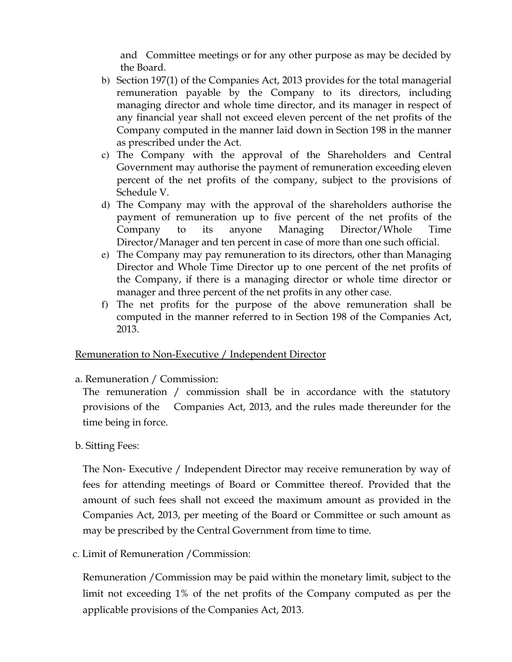and Committee meetings or for any other purpose as may be decided by the Board.

- b) Section 197(1) of the Companies Act, 2013 provides for the total managerial remuneration payable by the Company to its directors, including managing director and whole time director, and its manager in respect of any financial year shall not exceed eleven percent of the net profits of the Company computed in the manner laid down in Section 198 in the manner as prescribed under the Act.
- c) The Company with the approval of the Shareholders and Central Government may authorise the payment of remuneration exceeding eleven percent of the net profits of the company, subject to the provisions of Schedule V.
- d) The Company may with the approval of the shareholders authorise the payment of remuneration up to five percent of the net profits of the Company to its anyone Managing Director/Whole Time Director/Manager and ten percent in case of more than one such official.
- e) The Company may pay remuneration to its directors, other than Managing Director and Whole Time Director up to one percent of the net profits of the Company, if there is a managing director or whole time director or manager and three percent of the net profits in any other case.
- f) The net profits for the purpose of the above remuneration shall be computed in the manner referred to in Section 198 of the Companies Act, 2013.

#### Remuneration to Non-Executive / Independent Director

a. Remuneration / Commission:

The remuneration / commission shall be in accordance with the statutory provisions of the Companies Act, 2013, and the rules made thereunder for the time being in force.

# b. Sitting Fees:

The Non- Executive / Independent Director may receive remuneration by way of fees for attending meetings of Board or Committee thereof. Provided that the amount of such fees shall not exceed the maximum amount as provided in the Companies Act, 2013, per meeting of the Board or Committee or such amount as may be prescribed by the Central Government from time to time.

c. Limit of Remuneration /Commission:

Remuneration /Commission may be paid within the monetary limit, subject to the limit not exceeding 1% of the net profits of the Company computed as per the applicable provisions of the Companies Act, 2013.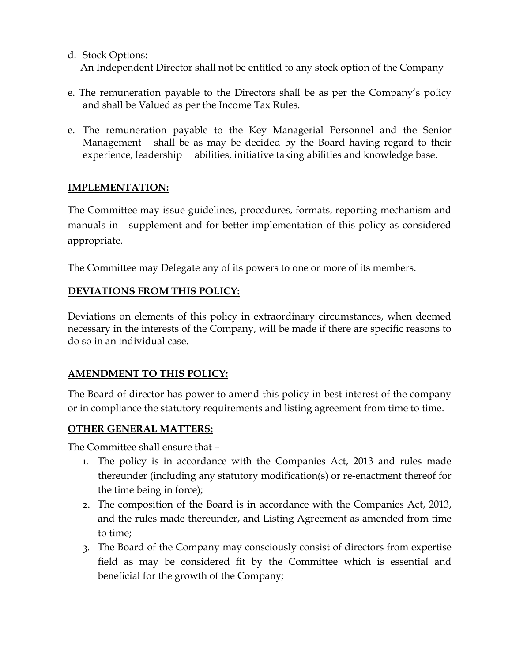- d. Stock Options: An Independent Director shall not be entitled to any stock option of the Company
- e. The remuneration payable to the Directors shall be as per the Company's policy and shall be Valued as per the Income Tax Rules.
- e. The remuneration payable to the Key Managerial Personnel and the Senior Management shall be as may be decided by the Board having regard to their experience, leadership abilities, initiative taking abilities and knowledge base.

# IMPLEMENTATION:

The Committee may issue guidelines, procedures, formats, reporting mechanism and manuals in supplement and for better implementation of this policy as considered appropriate.

The Committee may Delegate any of its powers to one or more of its members.

# DEVIATIONS FROM THIS POLICY:

Deviations on elements of this policy in extraordinary circumstances, when deemed necessary in the interests of the Company, will be made if there are specific reasons to do so in an individual case.

# AMENDMENT TO THIS POLICY:

The Board of director has power to amend this policy in best interest of the company or in compliance the statutory requirements and listing agreement from time to time.

#### OTHER GENERAL MATTERS:

The Committee shall ensure that –

- 1. The policy is in accordance with the Companies Act, 2013 and rules made thereunder (including any statutory modification(s) or re-enactment thereof for the time being in force);
- 2. The composition of the Board is in accordance with the Companies Act, 2013, and the rules made thereunder, and Listing Agreement as amended from time to time;
- 3. The Board of the Company may consciously consist of directors from expertise field as may be considered fit by the Committee which is essential and beneficial for the growth of the Company;